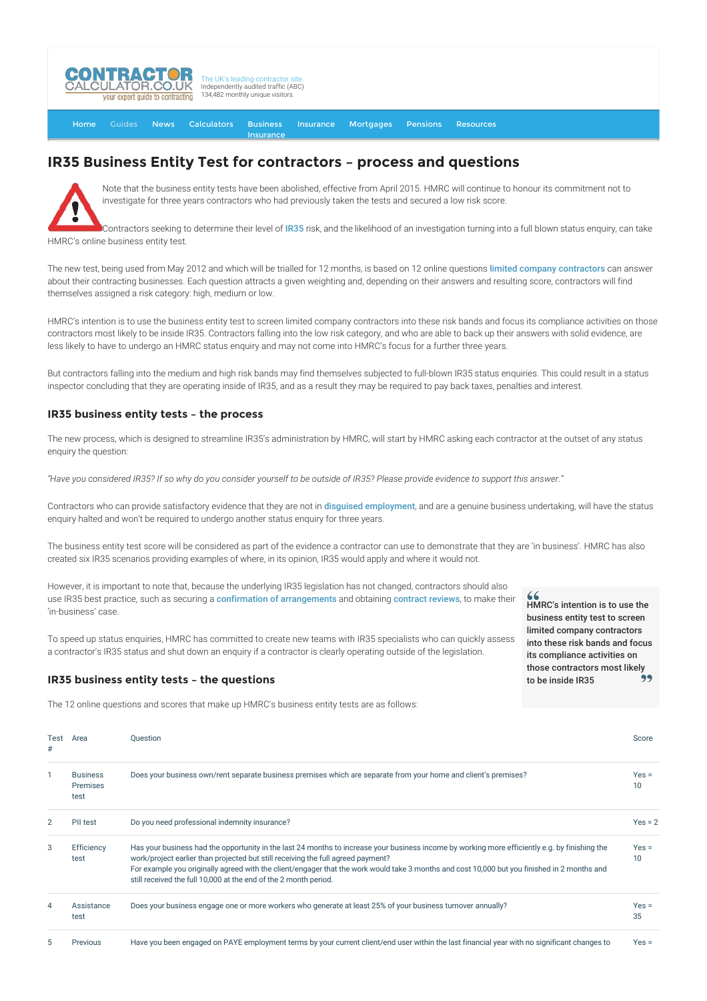

[Home](http://www.contractorcalculator.co.uk/) [Guides](http://www.contractorcalculator.co.uk/Articles.aspx) [News](http://www.contractorcalculator.co.uk/Contractor_News.aspx) [Calculators](http://www.contractorcalculator.co.uk/Calculators.aspx) Business Insurance **[Insurance](http://www.contractorcalculator.co.uk/Contractor_Insurances.aspx)** [Mortgages](http://www.contractorcalculator.co.uk/Contractor_Mortgages.aspx) [Pensions](http://www.contractorcalculator.co.uk/Contractor_Pensions.aspx) [Resources](http://www.contractorcalculator.co.uk/Contractor_Resources.aspx)

## **IR35 Business Entity Test for contractors – process and questions**



Note that the business entity tests have been abolished, effective from April 2015. HMRC will continue to honour its commitment not to investigate for three years contractors who had previously taken the tests and secured a low risk score.

Contractors seeking to determine their level of [IR35](http://www.contractorcalculator.co.uk/IR35.aspx) risk, and the likelihood of an investigation turning into a full blown status enquiry, can take HMRC's online business entity test.

The new test, being used from May 2012 and which will be trialled for 12 months, is based on 12 online questions [limited company contractors](http://www.contractorcalculator.co.uk/Limited_Companies.aspx) can answer about their contracting businesses. Each question attracts a given weighting and, depending on their answers and resulting score, contractors will find themselves assigned a risk category: high, medium or low.

HMRC's intention is to use the business entity test to screen limited company contractors into these risk bands and focus its compliance activities on those contractors most likely to be inside IR35. Contractors falling into the low risk category, and who are able to back up their answers with solid evidence, are less likely to have to undergo an HMRC status enquiry and may not come into HMRC's focus for a further three years.

But contractors falling into the medium and high risk bands may find themselves subjected to full-blown IR35 status enquiries. This could result in a status inspector concluding that they are operating inside of IR35, and as a result they may be required to pay back taxes, penalties and interest.

## **IR35 business entity tests – the process**

The new process, which is designed to streamline IR35's administration by HMRC, will start by HMRC asking each contractor at the outset of any status enquiry the question:

*"Have you considered IR35? If so why do you consider yourself to be outside of IR35? Please provide evidence to support this answer*."

Contractors who can provide satisfactory evidence that they are not in [disguised employment](http://www.contractorcalculator.co.uk/what_is_a_disguised_employee.aspx), and are a genuine business undertaking, will have the status enquiry halted and won't be required to undergo another status enquiry for three years.

The business entity test score will be considered as part of the evidence a contractor can use to demonstrate that they are 'in business'. HMRC has also created six IR35 scenarios providing examples of where, in its opinion, IR35 would apply and where it would not.

However, it is important to note that, because the underlying IR35 legislation has not changed, contractors should also use IR35 best practice, such as securing a [confirmation of arrangements](http://www.contractorcalculator.co.uk/contractors_ir35_confirmation_letter.aspx) and obtaining [contract reviews](http://www.contractorcalculator.co.uk/contract_reviews_ir35_status_guide_contractors.aspx), to make their 'in-business' case.

To speed up status enquiries, HMRC has committed to create new teams with IR35 specialists who can quickly assess a contractor's IR35 status and shut down an enquiry if a contractor is clearly operating outside of the legislation.

## **IR35 business entity tests – the questions**

The 12 online questions and scores that make up HMRC's business entity tests are as follows:

 $66$ HMRC's intention is to use the business entity test to screen limited company contractors into these risk bands and focus its compliance activities on those contractors most likely to be inside IR35

| Test<br>#    | Area                                | <b>Ouestion</b>                                                                                                                                                                                                                                                                                                                                                                                                                                        | Score         |
|--------------|-------------------------------------|--------------------------------------------------------------------------------------------------------------------------------------------------------------------------------------------------------------------------------------------------------------------------------------------------------------------------------------------------------------------------------------------------------------------------------------------------------|---------------|
| $\mathbf{1}$ | <b>Business</b><br>Premises<br>test | Does your business own/rent separate business premises which are separate from your home and client's premises?                                                                                                                                                                                                                                                                                                                                        | $Yes =$<br>10 |
| 2            | PII test                            | Do you need professional indemnity insurance?                                                                                                                                                                                                                                                                                                                                                                                                          | $Yes = 2$     |
| 3            | Efficiency<br>test                  | Has your business had the opportunity in the last 24 months to increase your business income by working more efficiently e.g. by finishing the<br>work/project earlier than projected but still receiving the full agreed payment?<br>For example you originally agreed with the client/engager that the work would take 3 months and cost 10,000 but you finished in 2 months and<br>still received the full 10,000 at the end of the 2 month period. | $Yes =$<br>10 |
| 4            | Assistance<br>test                  | Does your business engage one or more workers who generate at least 25% of your business turnover annually?                                                                                                                                                                                                                                                                                                                                            | $Yes =$<br>35 |
| 5            | Previous                            | Have you been engaged on PAYE employment terms by your current client/end user within the last financial year with no significant changes to                                                                                                                                                                                                                                                                                                           | $Yes =$       |